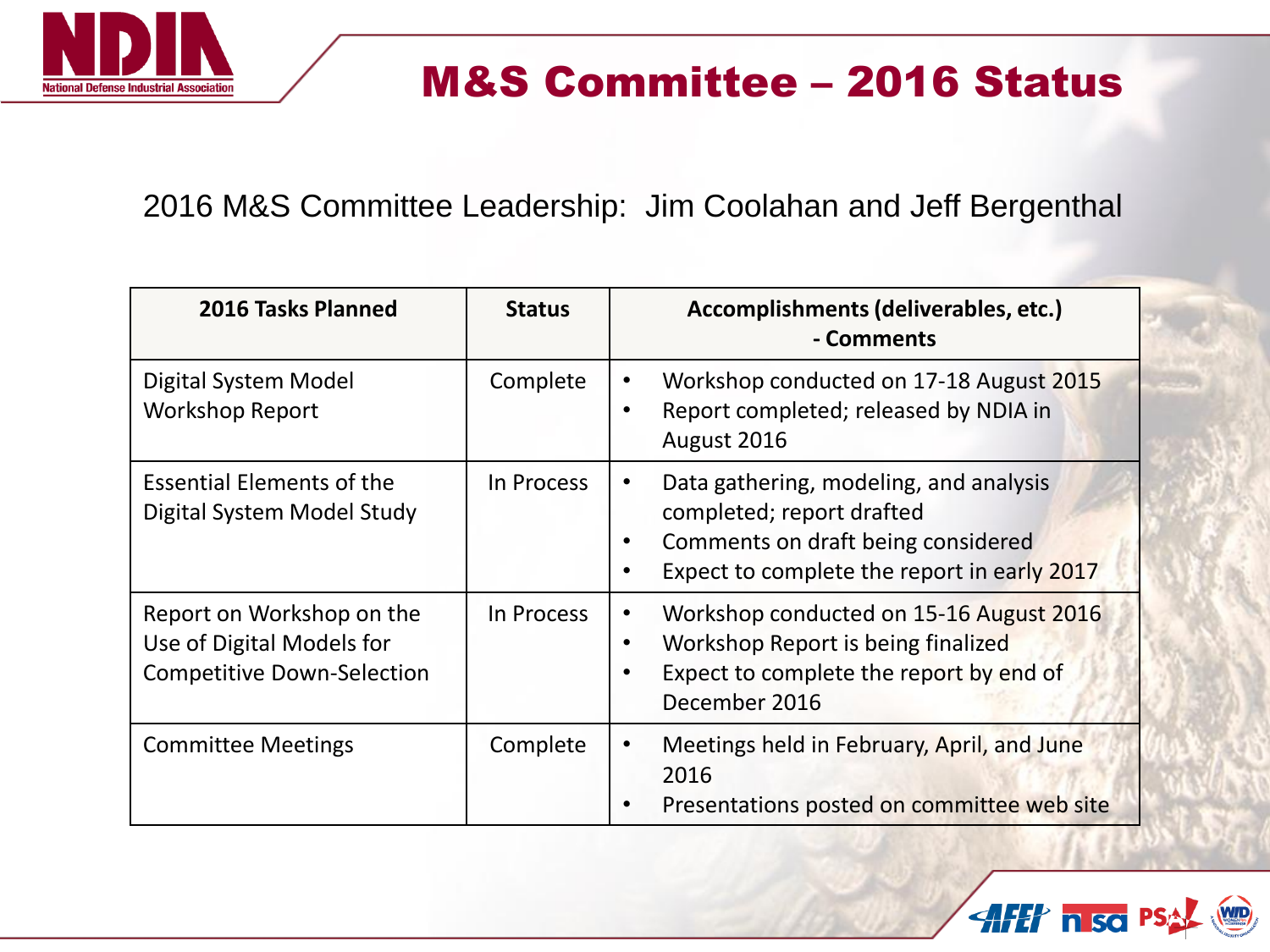

## M&S Committee – 2016 Status

2016 M&S Committee Leadership: Jim Coolahan and Jeff Bergenthal

| 2016 Tasks Planned                                                                          | <b>Status</b> | Accomplishments (deliverables, etc.)<br>- Comments                                                                                                                    |
|---------------------------------------------------------------------------------------------|---------------|-----------------------------------------------------------------------------------------------------------------------------------------------------------------------|
| Digital System Model<br><b>Workshop Report</b>                                              | Complete      | Workshop conducted on 17-18 August 2015<br>Report completed; released by NDIA in<br>$\bullet$<br>August 2016                                                          |
| <b>Essential Elements of the</b><br>Digital System Model Study                              | In Process    | Data gathering, modeling, and analysis<br>$\bullet$<br>completed; report drafted<br>Comments on draft being considered<br>Expect to complete the report in early 2017 |
| Report on Workshop on the<br>Use of Digital Models for<br><b>Competitive Down-Selection</b> | In Process    | Workshop conducted on 15-16 August 2016<br>Workshop Report is being finalized<br>Expect to complete the report by end of<br>December 2016                             |
| <b>Committee Meetings</b>                                                                   | Complete      | Meetings held in February, April, and June<br>$\bullet$<br>2016<br>Presentations posted on committee web site                                                         |